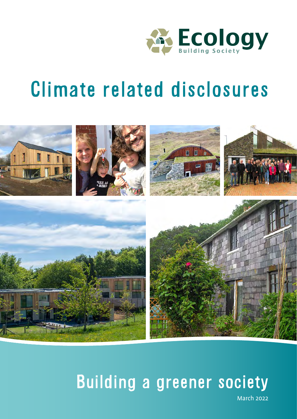

# Climate related disclosures



# Building a greener society

March 2022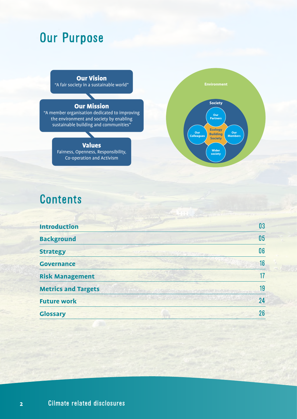# Our Purpose

Our Vision "A fair society in a sustainable world"

 $\blacktriangledown$ 

#### Our Mission

"A member organisation dedicated to improving the environment and society by enabling sustainable building and communities"

#### Values

Fairness, Openness, Responsibility, Co-operation and Activism



# **Contents**

| <b>Introduction</b>        | 03                                      |
|----------------------------|-----------------------------------------|
| <b>Background</b>          | 05                                      |
| <b>Strategy</b>            | 06<br>manders of the State of the state |
| <b>Governance</b>          | 16                                      |
| <b>Risk Management</b>     |                                         |
| <b>Metrics and Targets</b> | 19                                      |
| <b>Future work</b>         | 24                                      |
| <b>Glossary</b>            | 26                                      |
|                            |                                         |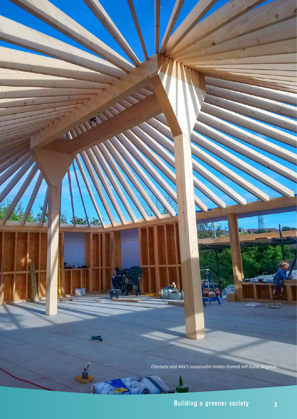*Charlotte and Alex's sustainable timber-framed self-build, Brighton*

. .

TAILLEY

ыĒ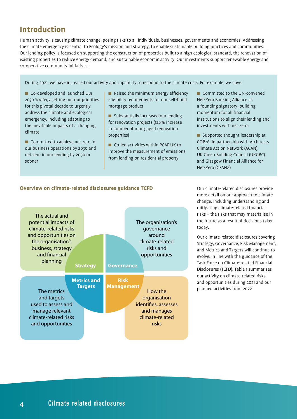# **Introduction**

Human activity is causing climate change, posing risks to all individuals, businesses, governments and economies. Addressing the climate emergency is central to Ecology's mission and strategy, to enable sustainable building practices and communities. Our lending policy is focused on supporting the construction of properties built to a high ecological standard, the renovation of existing properties to reduce energy demand, and sustainable economic activity. Our investments support renewable energy and co-operative community initiatives.

During 2021, we have increased our activity and capability to respond to the climate crisis. For example, we have:

■ Co-developed and launched Our *2030 Strategy* setting out our priorities for this pivotal decade to urgently address the climate and ecological emergency, including adapting to the inevitable impacts of a changing climate

■ Committed to achieve net zero in our business operations by 2030 and net zero in our lending by 2050 or sooner

 $\blacksquare$  Raised the minimum energy efficiency eligibility requirements for our self-build mortgage product

■ Substantially increased our lending for renovation projects (126% increase in number of mortgaged renovation properties)

■ Co-led activities within PCAF UK to improve the measurement of emissions from lending on residential property

■ Committed to the UN-convened Net-Zero Banking Alliance as a founding signatory, building momentum for all financial institutions to align their lending and investments with net zero

 $\blacksquare$  Supported thought leadership at COP26, in partnership with Architects Climate Action Network (ACAN), UK Green Building Council (UKGBC) and Glasgow Financial Alliance for Net-Zero (GFANZ)

#### **Overview on climate‑related disclosures guidance TCFD**



Our climate-related disclosures provide more detail on our approach to climate change, including understanding and mitigating climate-related financial risks – the risks that may materialise in the future as a result of decisions taken today.

Our climate-related disclosures covering Strategy, Governance, Risk Management, and Metrics and Targets will continue to evolve, in line with the guidance of the Task Force on Climate-related Financial Disclosures (TCFD). Table 1 summarises our activity on climate-related risks and opportunities during 2021 and our planned activities from 2022.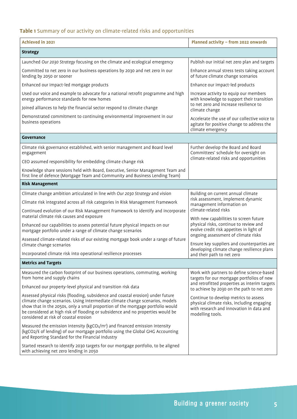## **Table 1** Summary of our activity on climate-related risks and opportunities

| <b>Achieved in 2021</b>                                                                                                                                                                                                                                                                                                                                                         | Planned activity - from 2022 onwards                                                                                                                |
|---------------------------------------------------------------------------------------------------------------------------------------------------------------------------------------------------------------------------------------------------------------------------------------------------------------------------------------------------------------------------------|-----------------------------------------------------------------------------------------------------------------------------------------------------|
| <b>Strategy</b>                                                                                                                                                                                                                                                                                                                                                                 |                                                                                                                                                     |
| Launched Our 2030 Strategy focusing on the climate and ecological emergency                                                                                                                                                                                                                                                                                                     | Publish our initial net zero plan and targets                                                                                                       |
| Committed to net zero in our business operations by 2030 and net zero in our<br>lending by 2050 or sooner                                                                                                                                                                                                                                                                       | Enhance annual stress tests taking account<br>of future climate change scenarios                                                                    |
| Enhanced our impact-led mortgage products                                                                                                                                                                                                                                                                                                                                       | Enhance our impact-led products                                                                                                                     |
| Used our voice and example to advocate for a national retrofit programme and high<br>energy performance standards for new homes                                                                                                                                                                                                                                                 | Increase activity to equip our members<br>with knowledge to support their transition<br>to net zero and increase resilience to                      |
| Joined alliances to help the financial sector respond to climate change                                                                                                                                                                                                                                                                                                         | climate change                                                                                                                                      |
| Demonstrated commitment to continuing environmental improvement in our<br>business operations                                                                                                                                                                                                                                                                                   | Accelerate the use of our collective voice to<br>agitate for positive change to address the<br>climate emergency                                    |
| Governance                                                                                                                                                                                                                                                                                                                                                                      |                                                                                                                                                     |
| Climate risk governance established, with senior management and Board level<br>engagement                                                                                                                                                                                                                                                                                       | Further develop the Board and Board<br>Committees' schedule for oversight on                                                                        |
| CEO assumed responsibility for embedding climate change risk                                                                                                                                                                                                                                                                                                                    | climate-related risks and opportunities                                                                                                             |
| Knowledge share sessions held with Board, Executive, Senior Management Team and<br>first line of defence (Mortgage Team and Community and Business Lending Team)                                                                                                                                                                                                                |                                                                                                                                                     |
| <b>Risk Management</b>                                                                                                                                                                                                                                                                                                                                                          |                                                                                                                                                     |
| Climate change ambition articulated in line with Our 2030 Strategy and vision                                                                                                                                                                                                                                                                                                   | Building on current annual climate                                                                                                                  |
| Climate risk integrated across all risk categories in Risk Management Framework                                                                                                                                                                                                                                                                                                 | risk assessment, implement dynamic<br>management information on                                                                                     |
| Continued evolution of our Risk Management Framework to identify and incorporate<br>material climate risk causes and exposure                                                                                                                                                                                                                                                   | climate-related risks<br>With new capabilities to screen future                                                                                     |
| Enhanced our capabilities to assess potential future physical impacts on our<br>mortgage portfolio under a range of climate change scenarios                                                                                                                                                                                                                                    | physical risks, continue to review and<br>evolve credit risk appetites in light of                                                                  |
| Assessed climate-related risks of our existing mortgage book under a range of future<br>climate change scenarios                                                                                                                                                                                                                                                                | ongoing assessment of climate risks<br>Ensure key suppliers and counterparties are                                                                  |
| Incorporated climate risk into operational resilience processes                                                                                                                                                                                                                                                                                                                 | developing climate change resilience plans<br>and their path to net zero                                                                            |
| <b>Metrics and Targets</b>                                                                                                                                                                                                                                                                                                                                                      |                                                                                                                                                     |
| Measured the carbon footprint of our business operations, commuting, working<br>from home and supply chains                                                                                                                                                                                                                                                                     | Work with partners to define science-based<br>targets for our mortgage portfolios of new                                                            |
| Enhanced our property-level physical and transition risk data                                                                                                                                                                                                                                                                                                                   | and retrofitted properties as interim targets<br>to achieve by 2030 on the path to net zero                                                         |
| Assessed physical risks (flooding, subsidence and coastal erosion) under future<br>climate change scenarios. Using intermediate climate change scenarios, models<br>show that in the 2050s, only a small proportion of the mortgage portfolio would<br>be considered at high risk of flooding or subsidence and no properties would be<br>considered at risk of coastal erosion | Continue to develop metrics to assess<br>physical climate risks, including engaging<br>with research and innovation in data and<br>modelling tools. |
| Measured the emission intensity ( $kgCO2/m2$ ) and financed emission intensity<br>(kgCO2/£ of lending) of our mortgage portfolio using the Global GHG Accounting<br>and Reporting Standard for the Financial Industry                                                                                                                                                           |                                                                                                                                                     |
| Started research to identify 2030 targets for our mortgage portfolio, to be aligned<br>with achieving net zero lending in 2050                                                                                                                                                                                                                                                  |                                                                                                                                                     |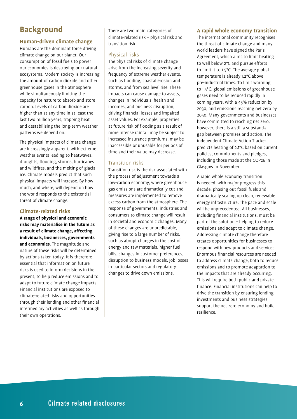# **Background**

#### **Human-driven climate change**

Humans are the dominant force driving climate change on our planet. Our consumption of fossil fuels to power our economies is destroying our natural ecosystems. Modern society is increasing the amount of carbon dioxide and other greenhouse gases in the atmosphere while simultaneously limiting the capacity for nature to absorb and store carbon. Levels of carbon dioxide are higher than at any time in at least the last two million years, trapping heat and destabilising the long-term weather patterns we depend on.

The physical impacts of climate change are increasingly apparent, with extreme weather events leading to heatwaves, droughts, flooding, storms, hurricanes and wildfires, and the melting of glacial ice. Climate models predict that such physical impacts will increase. By how much, and where, will depend on how the world responds to the existential threat of climate change.

#### **Climate-related risks**

**A range of physical and economic risks may materialise in the future as a result of climate change, affecting individuals, businesses, governments and economies**. The magnitude and nature of these risks will be determined by actions taken today. It is therefore essential that information on future risks is used to inform decisions in the present, to help reduce emissions and to adapt to future climate change impacts. Financial institutions are exposed to climate-related risks and opportunities through their lending and other financial intermediary activities as well as through their own operations.

There are two main categories of climate-related risk – physical risk and transition risk.

#### Physical risks

The physical risks of climate change arise from the increasing severity and frequency of extreme weather events, such as flooding, coastal erosion and storms, and from sea level rise. These impacts can cause damage to assets, changes in individuals' health and incomes, and business disruption, driving financial losses and impaired asset values. For example, properties at future risk of flooding as a result of more intense rainfall may be subject to increased insurance premiums, may be inaccessible or unusable for periods of time and their value may decrease.

#### Transition risks

Transition risk is the risk associated with the process of adjustment towards a low-carbon economy, where greenhouse gas emissions are dramatically cut and measures are implemented to remove excess carbon from the atmosphere. The response of governments, industries and consumers to climate change will result in societal and economic changes. Many of these changes are unpredictable, giving rise to a large number of risks, such as abrupt changes in the cost of energy and raw materials, higher fuel bills, changes in customer preferences, disruption to business models, job losses in particular sectors and regulatory changes to drive down emissions.

#### **A rapid whole economy transition**

The international community recognises the threat of climate change and many world leaders have signed the Paris Agreement, which aims to limit heating to well below 2°C and pursue efforts to limit it to 1.5°C. The average global temperature is already 1.2°C above pre-industrial times. To limit warming to 1.5°C, global emissions of greenhouse gases need to be reduced rapidly in coming years, with a 45% reduction by 2030, and emissions reaching net zero by 2050. Many governments and businesses have committed to reaching net zero, however, there is a still a substantial gap between promises and action. The independent Climate Action Tracker predicts heating of 2.1°C based on current policies, commitments and pledges, including those made at the COP26 in Glasgow in November.

A rapid whole economy transition is needed, with major progress this decade, phasing out fossil fuels and dramatically scaling up clean, renewable energy infrastructure. The pace and scale will be unprecedented. All businesses, including financial institutions, must be part of the solution – helping to reduce emissions and adapt to climate change. Addressing climate change therefore creates opportunities for businesses to respond with new products and services. Enormous financial resources are needed to address climate change, both to reduce emissions and to promote adaptation to the impacts that are already occurring. This will require both public and private finance. Financial institutions can help to drive the transition by ensuring lending, investments and business strategies support the net zero economy and build resilience.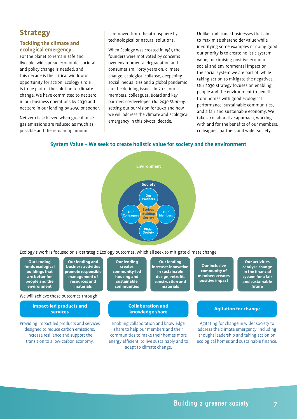# **Strategy**

#### **Tackling the climate and ecological emergency**

For the planet to remain safe and liveable, widespread economic, societal and policy change is needed, and this decade is the critical window of opportunity for action. Ecology's role is to be part of the solution to climate change. We have committed to net zero in our business operations by 2030 and net zero in our lending by 2050 or sooner.

Net zero is achieved when greenhouse gas emissions are reduced as much as possible and the remaining amount

is removed from the atmosphere by technological or natural solutions.

When Ecology was created in 1981, the founders were motivated by concerns over environmental degradation and consumerism. Forty years on, climate change, ecological collapse, deepening social inequalities and a global pandemic are the defining issues. In 2021, our members, colleagues, Board and key partners co-developed *Our 2030 Strategy,*  setting out our vision for 2030 and how we will address the climate and ecological emergency in this pivotal decade.

Unlike traditional businesses that aim to maximise shareholder value while identifying some examples of doing good, our priority is to create holistic system value, maximising positive economic, social and environmental impact on the social system we are part of, while taking action to mitigate the negatives. Our 2030 strategy focuses on enabling people and the environment to benefit from homes with good ecological performance, sustainable communities, and a fair and sustainable economy. We take a collaborative approach, working with and for the benefits of our members, colleagues, partners and wider society.

#### **System Value – We seek to create holistic value for society and the environment**



Ecology's work is focused on six strategic Ecology outcomes, which all seek to mitigate climate change:

|                                                                                                                                                                  | <b>Our lending</b><br>funds ecological<br>buildings that<br>are better for<br>people and the<br>environment | Our lending and<br>business activities<br>promote responsible<br>management of<br>resources and<br>materials<br>We will achieve these outcomes through: | <b>Our lending</b><br><b>creates</b><br>community-led<br>housing and<br>sustainable<br><b>communities</b>                                                           | <b>Our lending</b><br>increases innovation<br>in sustainable<br>design, retrofit,<br>construction and<br>materials | <b>Our inclusive</b><br>community of<br>members creates<br>positive impact                                                                                                   | <b>Our activities</b><br>catalyse change<br>in the financial<br>system for a fair<br>and sustainable<br>future |
|------------------------------------------------------------------------------------------------------------------------------------------------------------------|-------------------------------------------------------------------------------------------------------------|---------------------------------------------------------------------------------------------------------------------------------------------------------|---------------------------------------------------------------------------------------------------------------------------------------------------------------------|--------------------------------------------------------------------------------------------------------------------|------------------------------------------------------------------------------------------------------------------------------------------------------------------------------|----------------------------------------------------------------------------------------------------------------|
| <b>Collaboration and</b><br><b>Impact-led products and</b><br><b>Agitation for change</b><br>knowledge share<br><b>services</b>                                  |                                                                                                             |                                                                                                                                                         |                                                                                                                                                                     |                                                                                                                    |                                                                                                                                                                              |                                                                                                                |
| Providing impact led products and services<br>designed to reduce carbon emissions,<br>increase resilience and support the<br>transition to a low-carbon economy. |                                                                                                             |                                                                                                                                                         | Enabling collaboration and knowledge<br>share to help our members and their<br>communities to make their homes more<br>energy efficient, to live sustainably and to |                                                                                                                    | Agitating for change in wider society to<br>address the climate emergency, including<br>thought leadership and taking action on<br>ecological homes and sustainable finance. |                                                                                                                |

adapt to climate change.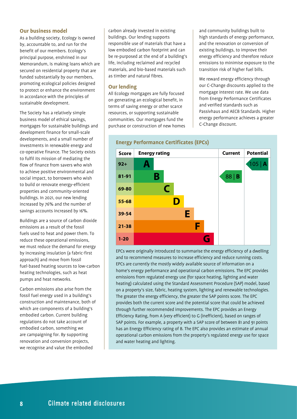#### **Our business model**

As a building society, Ecology is owned by, accountable to, and run for the benefit of our members. Ecology's principal purpose, enshrined in our Memorandum, is making loans which are secured on residential property that are funded substantially by our members, promoting ecological policies designed to protect or enhance the environment in accordance with the principles of sustainable development.

The Society has a relatively simple business model of ethical savings, mortgages for sustainable buildings and development finance for small-scale developments, and a small number of investments in renewable energy and co-operative finance. The Society exists to fulfil its mission of mediating the flow of finance from savers who wish to achieve positive environmental and social impact, to borrowers who wish to build or renovate energy-efficient properties and community-oriented buildings. In 2021, our new lending increased by 76% and the number of savings accounts increased by 16%.

Buildings are a source of carbon dioxide emissions as a result of the fossil fuels used to heat and power them. To reduce these operational emissions, we must reduce the demand for energy by increasing insulation (a fabric-first approach) and move from fossil fuel-based heating sources to low-carbon heating technologies, such as heat pumps and heat networks.

Carbon emissions also arise from the fossil fuel energy used in a building's construction and maintenance, both of which are components of a building's embodied carbon. Current building regulations do not take account of embodied carbon, something we are campaigning for. By supporting renovation and conversion projects, we recognise and value the embodied

carbon already invested in existing buildings. Our lending supports responsible use of materials that have a low embodied carbon footprint and can be re-purposed at the end of a building's life, including reclaimed and recycled materials, and bio-based materials such as timber and natural fibres.

#### **Our lending**

All Ecology mortgages are fully focused on generating an ecological benefit, in terms of saving energy or other scarce resources, or supporting sustainable communities. Our mortgages fund the purchase or construction of new homes and community buildings built to high standards of energy performance, and the renovation or conversion of existing buildings, to improve their energy efficiency and therefore reduce emissions to minimise exposure to the transition risk of higher fuel bills.

We reward energy efficiency through our C-Change discounts applied to the mortgage interest rate. We use data from Energy Performance Certificates and verified standards such as Passivhaus and AECB Standards. Higher energy performance achieves a greater C-Change discount.



EPCs were originally introduced to summarise the energy efficiency of a dwelling and to recommend measures to increase efficiency and reduce running costs. EPCs are currently the mostly widely available source of information on a home's energy performance and operational carbon emissions. The EPC provides emissions from regulated energy use (for space heating, lighting and water heating) calculated using the Standard Assessment Procedure (SAP) model, based on a property's size, fabric, heating system, lighting and renewable technologies. The greater the energy efficiency, the greater the SAP points score. The EPC provides both the current score and the potential score that could be achieved through further recommended improvements. The EPC provides an Energy Efficiency Rating, from A (very efficient) to G (inefficient), based on ranges of SAP points. For example, a property with a SAP score of between 81 and 91 points has an Energy Efficiency rating of B. The EPC also provides an estimate of annual operational carbon emissions from the property's regulated energy use for space and water heating and lighting.

#### **Energy Performance Certificates (EPCs)**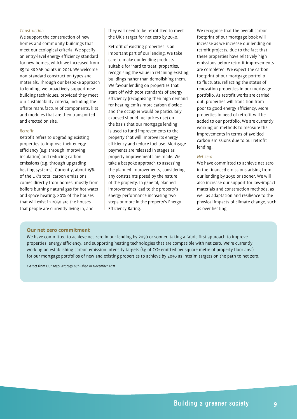#### *Construction*

We support the construction of new homes and community buildings that meet our ecological criteria. We specify an entry‑level energy efficiency standard for new homes, which we increased from 85 to 88 SAP points in 2021. We welcome non-standard construction types and materials. Through our bespoke approach to lending, we proactively support new building techniques, provided they meet our sustainability criteria, including the offsite manufacture of components, kits and modules that are then transported and erected on site.

#### *Retrofit*

Retrofit refers to upgrading existing properties to improve their energy efficiency (e.g. through improving insulation) and reducing carbon emissions (e.g. through upgrading heating systems). Currently, about 15% of the UK's total carbon emissions comes directly from homes, mostly from boilers burning natural gas for hot water and space heating. 80% of the houses that will exist in 2050 are the houses that people are currently living in, and

they will need to be retrofitted to meet the UK's target for net zero by 2050.

Retrofit of existing properties is an important part of our lending. We take care to make our lending products suitable for 'hard to treat' properties, recognising the value in retaining existing buildings rather than demolishing them. We favour lending on properties that start off with poor standards of energy efficiency (recognising their high demand for heating emits more carbon dioxide and the occupier would be particularly exposed should fuel prices rise) on the basis that our mortgage lending is used to fund improvements to the property that will improve its energy efficiency and reduce fuel use. Mortgage payments are released in stages as property improvements are made. We take a bespoke approach to assessing the planned improvements, considering any constraints posed by the nature of the property. In general, planned improvements lead to the property's energy performance increasing two steps or more in the property's Energy Efficiency Rating.

We recognise that the overall carbon footprint of our mortgage book will increase as we increase our lending on retrofit projects, due to the fact that these properties have relatively high emissions before retrofit improvements are completed. We expect the carbon footprint of our mortgage portfolio to fluctuate, reflecting the status of renovation properties in our mortgage portfolio. As retrofit works are carried out, properties will transition from poor to good energy efficiency. More properties in need of retrofit will be added to our portfolio. We are currently working on methods to measure the improvements in terms of avoided carbon emissions due to our retrofit lending.

#### *Net zero*

We have committed to achieve net zero in the financed emissions arising from our lending by 2050 or sooner. We will also increase our support for low-impact materials and construction methods, as well as adaptation and resilience to the physical impacts of climate change, such as over heating.

#### **Our net zero commitment**

We have committed to achieve net zero in our lending by 2050 or sooner, taking a fabric first approach to improve properties' energy efficiency, and supporting heating technologies that are compatible with net zero. We're currently working on establishing carbon emission intensity targets (kg of CO<sub>2</sub> emitted per square metre of property floor area) for our mortgage portfolios of new and existing properties to achieve by 2030 as interim targets on the path to net zero.

*Extract from Our 2030 Strategy published in November 2021*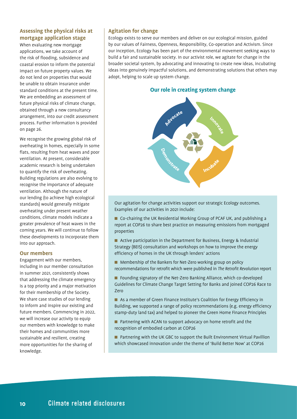#### **Assessing the physical risks at mortgage application stage**

When evaluating new mortgage applications, we take account of the risk of flooding, subsidence and coastal erosion to inform the potential impact on future property values. We do not lend on properties that would be unable to obtain insurance under standard conditions at the present time. We are embedding an assessment of future physical risks of climate change, obtained through a new consultancy arrangement, into our credit assessment process. Further information is provided on page 26.

We recognise the growing global risk of overheating in homes, especially in some flats, resulting from heat waves and poor ventilation. At present, considerable academic research is being undertaken to quantify the risk of overheating. Building regulations are also evolving to recognise the importance of adequate ventilation. Although the nature of our lending (to achieve high ecological standards) would generally mitigate overheating under present weather conditions, climate models indicate a greater prevalence of heat waves in the coming years. We will continue to follow these developments to incorporate them into our approach.

#### **Our members**

Engagement with our members, including in our member consultation in summer 2021, consistently shows that addressing the climate emergency is a top priority and a major motivation for their membership of the Society. We share case studies of our lending to inform and inspire our existing and future members. Commencing in 2022, we will increase our activity to equip our members with knowledge to make their homes and communities more sustainable and resilient, creating more opportunities for the sharing of knowledge.

#### **Agitation for change**

Ecology exists to serve our members and deliver on our ecological mission, guided by our values of Fairness, Openness, Responsibility, Co-operation and Activism. Since our inception, Ecology has been part of the environmental movement seeking ways to build a fair and sustainable society. In our activist role, we agitate for change in the broader societal system, by advocating and innovating to create new ideas, incubating ideas into genuinely impactful solutions, and demonstrating solutions that others may adopt, helping to scale up system change.

#### **Our role in creating system change**



Our agitation for change activities support our strategic Ecology outcomes. Examples of our activities in 2021 include:

■ Co-chairing the UK Residential Working Group of PCAF UK, and publishing a report at COP26 to share best practice on measuring emissions from mortgaged properties

- Active participation in the Department for Business, Energy & Industrial Strategy (BEIS) consultation and workshops on how to improve the energy efficiency of homes in the UK through lenders' actions
- **n** Membership of the Bankers for Net-Zero working group on policy recommendations for retrofit which were published in *The Retrofit Revolution* report
- Founding signatory of the Net-Zero Banking Alliance, which co-developed Guidelines for Climate Change Target Setting for Banks and joined COP26 Race to Zero
- As a member of Green Finance Institute's Coalition for Energy Efficiency in Building, we supported a range of policy recommendations (e.g. energy efficiency stamp-duty land tax) and helped to pioneer the Green Home Finance Principles
- $\blacksquare$  Partnering with ACAN to support advocacy on home retrofit and the recognition of embodied carbon at COP26
- Partnering with the UK GBC to support the Built Environment Virtual Pavillion which showcased innovation under the theme of 'Build Better Now' at COP26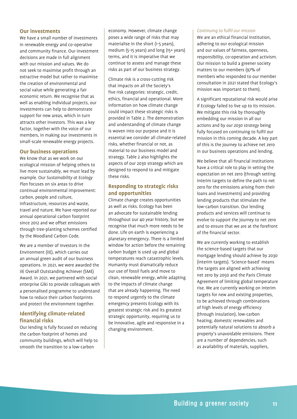#### **Our investments**

We have a small number of investments in renewable energy and co-operative and community finance. Our investment decisions are made in full alignment with our mission and values. We do not seek to maximise profit through an extractive model but rather to maximise the creation of environmental and social value while generating a fair economic return. We recognise that as well as enabling individual projects, our investments can help to demonstrate support for new areas, which in turn attracts other investors. This was a key factor, together with the voice of our members, in making our investments in small-scale renewable energy projects.

#### **Our business operations**

We know that as we work on our ecological mission of helping others to live more sustainably, we must lead by example. Our *Sustainability at Ecology Plan* focuses on six areas to drive continual environmental improvement: carbon, people and culture, infrastructure, resources and waste, travel and nature. We have reported our annual operational carbon footprint since 2012 and we offset emissions through tree-planting schemes certified by the Woodland Carbon Code.

We are a member of Investors in the Environment (iiE), which carries out an annual green audit of our business operations. In 2021, we were awarded the iiE Overall Outstanding Achiever (SME) Award. In 2021, we partnered with social enterprise Giki to provide colleagues with a personalised programme to understand how to reduce their carbon footprints and protect the environment together.

#### **Identifying climate-related financial risks**

Our lending is fully focused on reducing the carbon footprint of homes and community buildings, which will help to smooth the transition to a low-carbon

economy. However, climate change poses a wide range of risks that may materialise in the short (1-5 years), medium (5-15 years) and long (15+ years) terms, and it is imperative that we continue to assess and manage these risks as part of our business strategy.

Climate risk is a cross-cutting risk that impacts on all the Society's five risk categories: strategic, credit, ethics, financial and operational. More information on how climate change could impact these strategic risks is provided in Table 2. The demonstration and understanding of climate change is woven into our purpose and it is essential we consider all climate-related risks, whether financial or not, as material to our business model and strategy. Table 2 also highlights the aspects of our 2030 strategy which are designed to respond to and mitigate these risks.

#### **Responding to strategic risks and opportunities**

Climate change creates opportunities as well as risks. Ecology has been an advocate for sustainable lending throughout our 40 year history, but we recognise that much more needs to be done. Life on earth is experiencing a planetary emergency. There is a limited window for action before the remaining carbon budget is used up and global temperatures reach catastrophic levels. Humanity must dramatically reduce our use of fossil fuels and move to clean, renewable energy, while adapting to the impacts of climate change that are already happening. The need to respond urgently to the climate emergency presents Ecology with its greatest strategic risk and its greatest strategic opportunity, requiring us to be innovative, agile and responsive in a changing environment.

#### *Continuing to fulfil our mission*

We are an ethical financial institution, adhering to our ecological mission and our values of fairness, openness, responsibility, co-operation and activism. Our mission to build a greener society matters to our members (97% of members who responded to our member consultation in 2021 stated that Ecology's mission was important to them).

A significant reputational risk would arise if Ecology failed to live up to its mission. We mitigate this risk by thoroughly embedding our mission in all our actions and by *our 2030 strategy* being fully focused on continuing to fulfil our mission in this coming decade. A key part of this is the journey to achieve net zero in our business operations and lending.

We believe that all financial institutions have a critical role to play in setting the expectation on net zero (through setting interim targets to define the path to net zero for the emissions arising from their loans and investments) and providing lending products that stimulate the low-carbon transition. Our lending products and services will continue to evolve to support the journey to net zero and to ensure that we are at the forefront of the financial sector.

We are currently working to establish the science-based targets that our mortgage lending should achieve by 2030 (interim targets). 'Science-based' means the targets are aligned with achieving net zero by 2050 and the Paris Climate Agreement of limiting global temperature rise. We are currently working on interim targets for new and existing properties, to be achieved through combinations of high levels of energy efficiency (through insulation), low-carbon heating, domestic renewables and potentially natural solutions to absorb a property's unavoidable emissions. There are a number of dependencies, such as availability of materials, suppliers,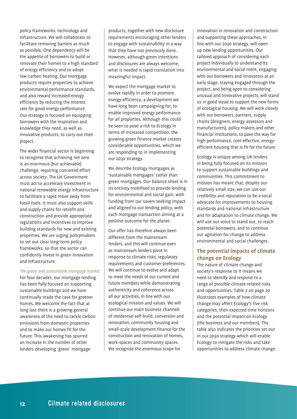policy frameworks, technology and infrastructure. We will collaborate to facilitate removing barriers as much as possible. One dependency will be the appetite of borrowers to build or renovate their homes to a high standard of energy efficiency and to adopt low-carbon heating. Our mortgage products require properties to achieve environmental performance standards, and also reward increased energy efficiency by reducing the interest rate for good energy performance. Our strategy is focused on equipping borrowers with the inspiration and knowledge they need, as well as innovative products, to carry out their project.

The wider financial sector is beginning to recognise that achieving net zero is an enormous (but achievable) challenge, requiring concerted effort across society. The UK Government must act to accelerate investment in national renewable energy infrastructure to facilitate a rapid move away from fossil fuels. It must also support skills and supply chains for retrofit and construction and provide appropriate regulations and incentives to improve building standards for new and existing properties. We are urging policymakers to set out clear long-term policy frameworks, so that the sector can confidently invest in green innovation and infrastructure.

#### *The green and sustainable mortgage market*

For four decades, our mortgage lending has been fully focused on supporting sustainable buildings and we have continually made the case for greener homes. We welcome the fact that at long last there is a growing general awareness of the need to tackle carbon emissions from domestic properties and to make our homes fit for the future. This awakening has spurred an increase in the number of other lenders developing 'green' mortgage

products, together with new disclosure requirements encouraging other lenders to engage with sustainability in a way that they have not previously done. However, although green intentions and disclosures are always welcome, what is needed is rapid translation into meaningful impact.

We expect the mortgage market to evolve rapidly in order to promote energy efficiency, a development we have long been campaigning for, to enable improved energy performance for all properties. Although this could be seen to pose a risk to Ecology in terms of increased competition, the growing green finance market creates considerable opportunities, which we are responding to in implementing our 2030 strategy.

We describe Ecology mortgages as 'sustainable mortgages' rather than green mortgages. Our balance sheet is in its entirety mobilised to provide lending for environmental and social gain, with funding from our savers seeking impact and aligned to our lending policy, with each mortgage transaction aiming at a positive outcome for the planet.

Our offer has therefore always been different from the mainstream lenders, and this will continue even as mainstream lenders pivot in response to climate risks, regulatory requirements and customer preferences. We will continue to evolve and adapt to meet the needs of our current and future members while demonstrating authenticity and coherence across all our activities, in line with our ecological mission and values. We will continue our main business channels of residential self-build, conversion and renovation, community housing and small-scale development finance for the construction and renovation of homes, work-spaces and community spaces. We recognise the enormous scope for

innovation in renovation and construction and supporting these approaches, in line with our 2030 strategy, will open up new lending opportunities. Our tailored approach of considering each project individually to understand its environmental and social merit, engaging with our borrowers and innovators at an early stage, staying engaged through the project, and being open to considering unusual and innovative projects, will stand us in good stead to support the new forms of ecological housing. We will work closely with our borrowers, partners, supply chains (designers, energy assessors and manufacturers), policy makers and other financial institutions, to pave the way for high performance, cost-effective, energyefficient housing that is fit for the future.

Ecology is unique among UK lenders in being fully focused on its mission to support sustainable buildings and communities. This commitment to mission has meant that, despite our relatively small size, we can use our credibility and reputation to be a vocal advocate for improvements to housing standards and national infrastructure and for adaptation to climate change. We will use our voice to stand out, to reach potential borrowers, and to continue our agitation for change to address environmental and social challenges.

#### **The potential impacts of climate change on Ecology**

The nature of climate change and society's response to it means we need to identify and respond to a range of possible climate-related risks and opportunities. Table 2 on page 20 illustrates examples of how climate change may affect Ecology's five risk categories, their expected time horizons and the potential impact on Ecology (the business and our members). The table also indicates the priorities set out in our 2030 strategy which will enable Ecology to mitigate the risks and take opportunities to address climate change.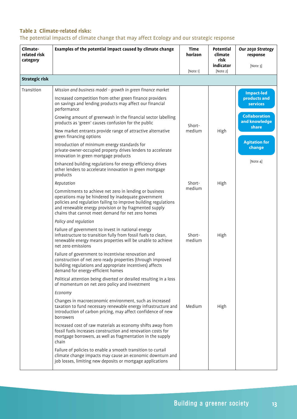## **Table 2 Climate-related risks:**

The potential impacts of climate change that may affect Ecology and our strategic response

| Climate-<br>related risk<br>category | Examples of the potential impact caused by climate change                                                                                                                                                                                                                                       | <b>Time</b><br>horizon<br>[Note 1] | Potential<br>climate<br>risk<br>indicator<br>[Note 2] | Our 2030 Strategy<br>response<br>[Note 3]      |
|--------------------------------------|-------------------------------------------------------------------------------------------------------------------------------------------------------------------------------------------------------------------------------------------------------------------------------------------------|------------------------------------|-------------------------------------------------------|------------------------------------------------|
| <b>Strategic risk</b>                |                                                                                                                                                                                                                                                                                                 |                                    |                                                       |                                                |
| Transition                           | Mission and business model - growth in green finance market                                                                                                                                                                                                                                     |                                    |                                                       | <b>Impact-led</b>                              |
|                                      | Increased competition from other green finance providers<br>on savings and lending products may affect our financial<br>performance                                                                                                                                                             |                                    |                                                       | products and<br><b>services</b>                |
|                                      | Growing amount of greenwash in the financial sector labelling<br>products as 'green' causes confusion for the public                                                                                                                                                                            | Short-                             |                                                       | <b>Collaboration</b><br>and knowledge<br>share |
|                                      | New market entrants provide range of attractive alternative<br>green financing options                                                                                                                                                                                                          | medium                             | High                                                  |                                                |
|                                      | Introduction of minimum energy standards for<br>private-owner-occupied property drives lenders to accelerate<br>innovation in green mortgage products                                                                                                                                           |                                    |                                                       | <b>Agitation for</b><br>change                 |
|                                      | Enhanced building regulations for energy efficiency drives<br>other lenders to accelerate innovation in green mortgage<br>products                                                                                                                                                              |                                    |                                                       | [Note 4]                                       |
|                                      | Reputation                                                                                                                                                                                                                                                                                      | Short-                             | High                                                  |                                                |
|                                      | Commitments to achieve net zero in lending or business<br>operations may be hindered by inadequate government<br>policies and regulation failing to improve building regulations<br>and renewable energy provision or by fragmented supply<br>chains that cannot meet demand for net zero homes | medium                             |                                                       |                                                |
|                                      | Policy and regulation                                                                                                                                                                                                                                                                           |                                    |                                                       |                                                |
|                                      | Failure of government to invest in national energy<br>infrastructure to transition fully from fossil fuels to clean,<br>renewable energy means properties will be unable to achieve<br>net zero emissions                                                                                       | Short-<br>medium                   | High                                                  |                                                |
|                                      | Failure of government to incentivise renovation and<br>construction of net zero ready properties (through improved<br>building regulations and appropriate incentives) affects<br>demand for energy-efficient homes                                                                             |                                    |                                                       |                                                |
|                                      | Political attention being diverted or derailed resulting in a loss<br>of momentum on net zero policy and investment                                                                                                                                                                             |                                    |                                                       |                                                |
|                                      | Economy                                                                                                                                                                                                                                                                                         |                                    |                                                       |                                                |
|                                      | Changes in macroeconomic environment, such as increased<br>taxation to fund necessary renewable energy infrastructure and<br>introduction of carbon pricing, may affect confidence of new<br>borrowers                                                                                          | Medium                             | High                                                  |                                                |
|                                      | Increased cost of raw materials as economy shifts away from<br>fossil fuels increases construction and renovation costs for<br>mortgage borrowers, as well as fragmentation in the supply<br>chain                                                                                              |                                    |                                                       |                                                |
|                                      | Failure of policies to enable a smooth transition to curtail<br>climate change impacts may cause an economic downturn and<br>job losses, limiting new deposits or mortgage applications                                                                                                         |                                    |                                                       |                                                |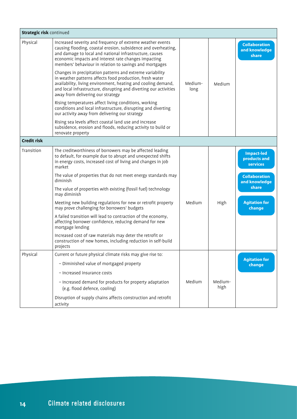| <b>Strategic risk continued</b> |                                                                                                                                                                                                                                                                                                            |                 |                 |                                                      |
|---------------------------------|------------------------------------------------------------------------------------------------------------------------------------------------------------------------------------------------------------------------------------------------------------------------------------------------------------|-----------------|-----------------|------------------------------------------------------|
| Physical                        | Increased severity and frequency of extreme weather events<br>causing flooding, coastal erosion, subsidence and overheating,<br>and damage to local and national infrastructure, causes<br>economic impacts and interest rate changes impacting<br>members' behaviour in relation to savings and mortgages |                 |                 | <b>Collaboration</b><br>and knowledge<br>share       |
|                                 | Changes in precipitation patterns and extreme variability<br>in weather patterns affects food production, fresh water<br>availability, living environment, heating and cooling demand,<br>and local infrastructure, disrupting and diverting our activities<br>away from delivering our strategy           | Medium-<br>long | Medium          |                                                      |
|                                 | Rising temperatures affect living conditions, working<br>conditions and local infrastructure, disrupting and diverting<br>our activity away from delivering our strategy                                                                                                                                   |                 |                 |                                                      |
|                                 | Rising sea levels affect coastal land use and increase<br>subsidence, erosion and floods, reducing activity to build or<br>renovate property                                                                                                                                                               |                 |                 |                                                      |
| <b>Credit risk</b>              |                                                                                                                                                                                                                                                                                                            |                 |                 |                                                      |
| Transition                      | The creditworthiness of borrowers may be affected leading<br>to default, for example due to abrupt and unexpected shifts<br>in energy costs, increased cost of living and changes in job<br>market                                                                                                         |                 |                 | <b>Impact-led</b><br>products and<br><b>services</b> |
|                                 | The value of properties that do not meet energy standards may<br>diminish                                                                                                                                                                                                                                  |                 |                 | <b>Collaboration</b><br>and knowledge                |
|                                 | The value of properties with existing (fossil fuel) technology<br>may diminish                                                                                                                                                                                                                             |                 |                 | share                                                |
|                                 | Meeting new building regulations for new or retrofit property<br>may prove challenging for borrowers' budgets                                                                                                                                                                                              | Medium          | High            | <b>Agitation for</b><br>change                       |
|                                 | A failed transition will lead to contraction of the economy,<br>affecting borrower confidence, reducing demand for new<br>mortgage lending                                                                                                                                                                 |                 |                 |                                                      |
|                                 | Increased cost of raw materials may deter the retrofit or<br>construction of new homes, including reduction in self-build<br>projects                                                                                                                                                                      |                 |                 |                                                      |
| Physical                        | Current or future physical climate risks may give rise to:                                                                                                                                                                                                                                                 |                 |                 | <b>Agitation for</b>                                 |
|                                 | - Diminished value of mortgaged property                                                                                                                                                                                                                                                                   |                 |                 | change                                               |
|                                 | - Increased insurance costs                                                                                                                                                                                                                                                                                |                 |                 |                                                      |
|                                 | - Increased demand for products for property adaptation<br>(e.g. flood defence, cooling)                                                                                                                                                                                                                   | Medium          | Medium-<br>high |                                                      |
|                                 | Disruption of supply chains affects construction and retrofit<br>activity                                                                                                                                                                                                                                  |                 |                 |                                                      |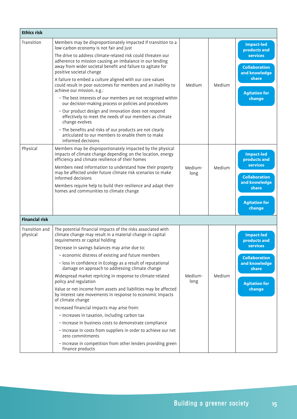| <b>Ethics risk</b>         |                                                                                                                                                                                                                                                                                                                                                                                                                                                                                                                                                                                                                                                                                                                                                                                                                                                                                                                                                                         |                 |        |                                                                                                                                                 |
|----------------------------|-------------------------------------------------------------------------------------------------------------------------------------------------------------------------------------------------------------------------------------------------------------------------------------------------------------------------------------------------------------------------------------------------------------------------------------------------------------------------------------------------------------------------------------------------------------------------------------------------------------------------------------------------------------------------------------------------------------------------------------------------------------------------------------------------------------------------------------------------------------------------------------------------------------------------------------------------------------------------|-----------------|--------|-------------------------------------------------------------------------------------------------------------------------------------------------|
| Transition                 | Members may be disproportionately impacted if transition to a<br>low-carbon economy is not fair and just<br>The drive to address climate-related risk could threaten our<br>adherence to mission causing an imbalance in our lending<br>away from wider societal benefit and failure to agitate for<br>positive societal change<br>A failure to embed a culture aligned with our core values<br>could result in poor outcomes for members and an inability to<br>achieve our mission, e.g.:<br>- The best interests of our members are not recognised within<br>our decision-making process or policies and procedures<br>- Our product design and innovation does not respond<br>effectively to meet the needs of our members as climate<br>change evolves<br>- The benefits and risks of our products are not clearly<br>articulated to our members to enable them to make<br>informed decisions                                                                      | Medium          | Medium | <b>Impact-led</b><br>products and<br><b>services</b><br><b>Collaboration</b><br>and knowledge<br>share<br><b>Agitation for</b><br>change        |
| Physical                   | Members may be disproportionately impacted by the physical<br>impacts of climate change depending on the location, energy<br>efficiency and climate resilience of their homes<br>Members need information to understand how their property<br>may be affected under future climate risk scenarios to make<br>informed decisions<br>Members require help to build their resilience and adapt their<br>homes and communities to climate change                                                                                                                                                                                                                                                                                                                                                                                                                                                                                                                            | Medium-<br>long | Medium | <b>Impact-led</b><br>products and<br><b>services</b><br><b>Collaboration</b><br>and knowledge<br>share<br><b>Agitation for</b><br>change        |
| <b>Financial risk</b>      |                                                                                                                                                                                                                                                                                                                                                                                                                                                                                                                                                                                                                                                                                                                                                                                                                                                                                                                                                                         |                 |        |                                                                                                                                                 |
| Transition and<br>physical | The potential financial impacts of the risks associated with<br>climate change may result in a material change in capital<br>requirements or capital holding<br>Decrease in savings balances may arise due to:<br>- economic distress of existing and future members<br>- loss in confidence in Ecology as a result of reputational<br>damage on approach to addressing climate change<br>Widespread market repricing in response to climate-related<br>policy and regulation<br>Value or net income from assets and liabilities may be affected<br>by interest rate movements in response to economic impacts<br>of climate change<br>Increased financial impacts may arise from:<br>- Increases in taxation, including carbon tax<br>- Increase in business costs to demonstrate compliance<br>- Increase in costs from suppliers in order to achieve our net<br>zero commitments<br>- Increase in competition from other lenders providing green<br>finance products | Medium-<br>long | Medium | <b>Impact-led</b><br>products and<br><b>services</b><br><b>Collaboration</b><br>and knowledge<br><b>share</b><br><b>Agitation for</b><br>change |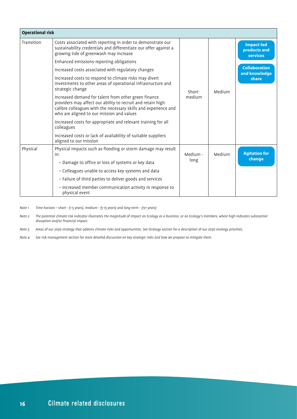| <b>Operational risk</b> |                                                                                                                                                                                                                                     |          |        |                                                      |
|-------------------------|-------------------------------------------------------------------------------------------------------------------------------------------------------------------------------------------------------------------------------------|----------|--------|------------------------------------------------------|
| Transition              | Costs associated with reporting in order to demonstrate our<br>sustainability credentials and differentiate our offer against a<br>growing tide of greenwash may increase                                                           |          |        | <b>Impact-led</b><br>products and<br><b>services</b> |
|                         | Enhanced emissions-reporting obligations                                                                                                                                                                                            |          |        |                                                      |
|                         | Increased costs associated with regulatory changes                                                                                                                                                                                  |          |        | <b>Collaboration</b><br>and knowledge                |
|                         | Increased costs to respond to climate risks may divert<br>investments to other areas of operational infrastructure and<br>strategic change                                                                                          | Short-   | Medium | share                                                |
|                         | Increased demand for talent from other green finance<br>providers may affect our ability to recruit and retain high<br>calibre colleagues with the necessary skills and experience and<br>who are aligned to our mission and values | medium   |        |                                                      |
|                         | Increased costs for appropriate and relevant training for all<br>colleagues                                                                                                                                                         |          |        |                                                      |
|                         | Increased costs or lack of availability of suitable suppliers<br>aligned to our mission                                                                                                                                             |          |        |                                                      |
| Physical                | Physical impacts such as flooding or storm damage may result<br>in:                                                                                                                                                                 | Medium - | Medium | <b>Agitation for</b><br>change                       |
|                         | - Damage to office or loss of systems or key data                                                                                                                                                                                   | long     |        |                                                      |
|                         | - Colleagues unable to access key systems and data                                                                                                                                                                                  |          |        |                                                      |
|                         | - Failure of third parties to deliver goods and services                                                                                                                                                                            |          |        |                                                      |
|                         | - Increased member communication activity in response to<br>physical event                                                                                                                                                          |          |        |                                                      |

*Note 1 Time horizon – short - (1-5 years), medium - (5-15 years) and long-term - (15+ years)* 

*Note 2 The potential climate risk indicator illustrates the magnitude of impact on Ecology as a business, or on Ecology's members, where high indicates substantial disruption and/or financial impact.* 

*Note 3 Areas of our 2030 strategy that address climate risks and opportunities. See Strategy section for a description of our 2030 strategy priorities.*

*Note 4 See risk management section for more detailed discussion on key strategic risks and how we propose to mitigate them.*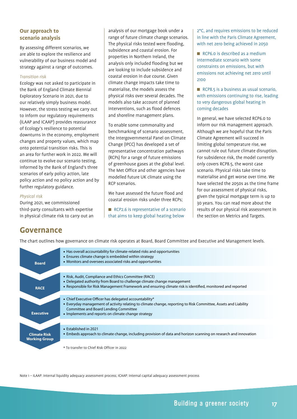#### **Our approach to scenario analysis**

By assessing different scenarios, we are able to explore the resilience and vulnerability of our business model and strategy against a range of outcomes.

#### *Transition risk*

Ecology was not asked to participate in the Bank of England Climate Biennial Exploratory Scenario in 2021, due to our relatively simply business model. However, the stress testing we carry out to inform our regulatory requirements (ILAAP and ICAAP<sup>1</sup>) provides reassurance of Ecology's resilience to potential downturns in the economy, employment changes and property values, which map onto potential transition risks. This is an area for further work in 2022. We will continue to evolve our scenario testing, informed by the Bank of England's three scenarios of early policy action, late policy action and no policy action and by further regulatory guidance.

#### *Physical risk*

During 2021, we commissioned third-party consultants with expertise in physical climate risk to carry out an

analysis of our mortgage book under a range of future climate change scenarios. The physical risks tested were flooding, subsidence and coastal erosion. For properties in Northern Ireland, the analysis only included flooding but we are looking to include subsidence and coastal erosion in due course. Given climate change impacts take time to materialise, the models assess the physical risks over several decades. The models also take account of planned interventions, such as flood defences and shoreline management plans.

To enable some commonality and benchmarking of scenario assessment, the Intergovernmental Panel on Climate Change (IPCC) has developed a set of representative concentration pathways (RCPs) for a range of future emissions of greenhouse gases at the global level. The Met Office and other agencies have modelled future UK climate using the RCP scenarios.

We have assessed the future flood and coastal erosion risks under three RCPs;

 $RCP2.6$  is representative of a scenario that aims to keep global heating below

2°C, and requires emissions to be reduced in line with the Paris Climate Agreement, with net zero being achieved in 2050

 $RCP6.0$  is described as a medium intermediate scenario with some constraints on emissions, but with emissions not achieving net zero until 2100

 $RCP8.5$  is a business as usual scenario, with emissions continuing to rise, leading to very dangerous global heating in coming decades

In general, we have selected RCP6.0 to inform our risk management approach. Although we are hopeful that the Paris Climate Agreement will succeed in limiting global temperature rise, we cannot rule out future climate disruption. For subsidence risk, the model currently only covers RCP8.5, the worst case scenario. Physical risks take time to materialise and get worse over time. We have selected the 2050s as the time frame for our assessment of physical risks, given the typical mortgage term is up to 30 years. You can read more about the results of our physical risk assessment in the section on Metrics and Targets.

### **Governance**

The chart outlines how governance on climate risk operates at Board, Board Committee and Executive and Management levels.



Note 1 – ILAAP: Internal liquidity adequacy assessment process; ICAAP: Internal capital adequacy assessment process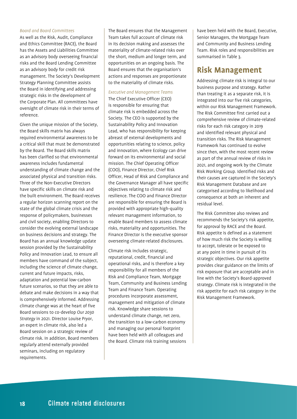#### *Board and Board Committees*

As well as the Risk, Audit, Compliance and Ethics Committee (RACE), the Board has the Assets and Liabilities Committee as an advisory body overseeing financial risks and the Board Lending Committee as an advisory body for credit risk management. The Society's Development Strategy Planning Committee assists the Board in identifying and addressing strategic risks in the development of the Corporate Plan. All committees have oversight of climate risk in their terms of reference.

Given the unique mission of the Society, the Board skills matrix has always required environmental awareness to be a critical skill that must be demonstrated by the Board. The Board skills matrix has been clarified so that environmental awareness includes fundamental understanding of climate change and the associated physical and transition risks. Three of the Non-Executive Directors have specific skills on climate risk and the built environment. The Board receives a regular horizon scanning report on the state of the global climate crisis and the response of policymakers, businesses and civil society, enabling Directors to consider the evolving external landscape on business decisions and strategy. The Board has an annual knowledge update session provided by the Sustainability Policy and Innovation Lead, to ensure all members have command of the subject, including the science of climate change, current and future impacts, risks, adaptation and potential low-carbon future scenarios, so that they are able to debate and make decisions in a way that is comprehensively informed. Addressing climate change was at the heart of five Board sessions to co-develop *Our 2030 Strategy* in 2021. Director Louise Pryor, an expert in climate risk, also led a Board session on a strategic review of climate risk. In addition, Board members regularly attend externally provided seminars, including on regulatory requirements.

The Board ensures that the Management Team takes full account of climate risk in its decision making and assesses the materiality of climate-related risks over the short, medium and longer term, and opportunities on an ongoing basis. The Board ensures that the organisation's actions and responses are proportionate to the materiality of climate risks.

#### *Executive and Management Teams*

The Chief Executive Officer (CEO) is responsible for ensuring that climate risk is embedded across the Society. The CEO is supported by the Sustainability Policy and Innovation Lead, who has responsibility for keeping abreast of external developments and opportunities relating to science, policy and innovation, where Ecology can drive forward on its environmental and social mission. The Chief Operating Officer (COO), Finance Director, Chief Risk Officer, Head of Risk and Compliance and the Governance Manager all have specific objectives relating to climate risk and resilience. The COO and Finance Director are responsible for ensuring the Board is provided with appropriate high-quality relevant management information, to enable Board members to assess climate risks, materiality and opportunities. The Finance Director is the executive sponsor overseeing climate-related disclosures.

Climate risk includes strategic, reputational, credit, financial and operational risks, and is therefore a key responsibility for all members of the Risk and Compliance Team, Mortgage Team, Community and Business Lending Team and Finance Team. Operating procedures incorporate assessment, management and mitigation of climate risk. Knowledge share sessions to understand climate change, net zero, the transition to a low-carbon economy and managing our personal footprint have been held with all colleagues and the Board. Climate risk training sessions

have been held with the Board, Executive, Senior Managers, the Mortgage Team and Community and Business Lending Team. Risk roles and responsibilities are summarised in Table 3.

## **Risk Management**

Addressing climate risk is integral to our business purpose and strategy. Rather than treating it as a separate risk, it is integrated into our five risk categories, within our Risk Management Framework. The Risk Committee first carried out a comprehensive review of climate-related risks for each risk category in 2019 and identified relevant physical and transition risks. The Risk Management Framework has continued to evolve since then, with the most recent review as part of the annual review of risks in 2021, and ongoing work by the Climate Risk Working Group. Identified risks and their causes are captured in the Society's Risk Management Database and are categorised according to likelihood and consequence at both an inherent and residual level.

The Risk Committee also reviews and recommends the Society's risk appetite, for approval by RACE and the Board. Risk appetite is defined as a statement of how much risk the Society is willing to accept, tolerate or be exposed to at any point in time in pursuit of its strategic objectives. Our risk appetite provides clear guidance on the limits of risk exposure that are acceptable and in line with the Society's Board-approved strategy. Climate risk is integrated in the risk appetite for each risk category in the Risk Management Framework.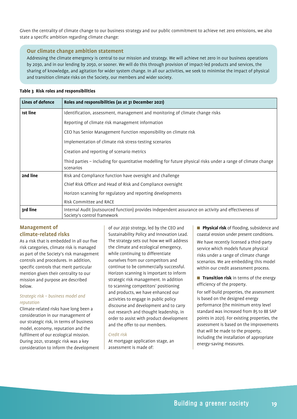Given the centrality of climate change to our business strategy and our public commitment to achieve net zero emissions, we also state a specific ambition regarding climate change:

#### **Our climate change ambition statement**

Addressing the climate emergency is central to our mission and strategy. We will achieve net zero in our business operations by 2030, and in our lending by 2050, or sooner. We will do this through provision of impact-led products and services, the sharing of knowledge, and agitation for wider system change. In all our activities, we seek to minimise the impact of physical and transition climate risks on the Society, our members and wider society.

#### **Table 3 Risk roles and responsibilities**

| Lines of defence | Roles and responsibilities (as at 31 December 2021)                                                                                 |
|------------------|-------------------------------------------------------------------------------------------------------------------------------------|
| 1st line         | Identification, assessment, management and monitoring of climate change risks                                                       |
|                  | Reporting of climate risk management information                                                                                    |
|                  | CEO has Senior Management Function responsibility on climate risk                                                                   |
|                  | Implementation of climate risk stress-testing scenarios                                                                             |
|                  | Creation and reporting of scenario metrics                                                                                          |
|                  | Third parties - including for quantitative modelling for future physical risks under a range of climate change<br>scenarios         |
| 2nd line         | Risk and Compliance function have oversight and challenge                                                                           |
|                  | Chief Risk Officer and Head of Risk and Compliance oversight                                                                        |
|                  | Horizon scanning for regulatory and reporting developments                                                                          |
|                  | Risk Committee and RACE                                                                                                             |
| 3rd line         | Internal Audit (outsourced function) provides independent assurance on activity and effectiveness of<br>Society's control framework |

#### **Management of climate-related risks**

As a risk that is embedded in all our five risk categories, climate risk is managed as part of the Society's risk management controls and procedures. In addition, specific controls that merit particular mention given their centrality to our mission and purpose are described below.

#### *Strategic risk – business model and reputation*

Climate-related risks have long been a consideration in our management of our strategic risk, in terms of business model, economy, reputation and the fulfilment of our ecological mission. During 2021, strategic risk was a key consideration to inform the development

of *our 2030 strategy,* led by the CEO and Sustainability Policy and Innovation Lead. The strategy sets out how we will address the climate and ecological emergency, while continuing to differentiate ourselves from our competitors and continue to be commercially successful. Horizon scanning is important to inform strategic risk management. In addition to scanning competitors' positioning and products, we have enhanced our activities to engage in public policy discourse and development and to carry out research and thought leadership, in order to assist with product development and the offer to our members.

#### *Credit risk*

At mortgage application stage, an assessment is made of:

**Physical risk** of flooding, subsidence and coastal erosion under present conditions.

We have recently licensed a third-party service which models future physical risks under a range of climate change scenarios. We are embedding this model within our credit assessment process.

**Transition risk** in terms of the energy efficiency of the property.

For self-build properties, the assessment is based on the designed energy performance (the minimum entry level standard was increased from 85 to 88 SAP points in 2021). For existing properties, the assessment is based on the improvements that will be made to the property, including the installation of appropriate energy-saving measures.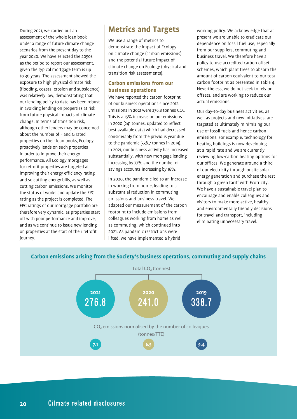During 2021, we carried out an assessment of the whole loan book under a range of future climate change scenarios from the present day to the year 2080. We have selected the 2050s as the period to report our assessment, given the typical mortgage term is up to 30 years. The assessment showed the exposure to high physical climate risk (flooding, coastal erosion and subsidence) was relatively low, demonstrating that our lending policy to date has been robust in avoiding lending on properties at risk from future physical impacts of climate change. In terms of transition risk, although other lenders may be concerned about the number of F and G rated properties on their loan books, Ecology proactively lends on such properties in order to improve their energy performance. All Ecology mortgages for retrofit properties are targeted at improving their energy efficiency rating and so cutting energy bills, as well as cutting carbon emissions. We monitor the status of works and update the EPC rating as the project is completed. The EPC ratings of our mortgage portfolio are therefore very dynamic, as properties start off with poor performance and improve, and as we continue to issue new lending on properties at the start of their retrofit journey.

# **Metrics and Targets**

We use a range of metrics to demonstrate the impact of Ecology on climate change (carbon emissions) and the potential future impact of climate change on Ecology (physical and transition risk assessments).

#### **Carbon emissions from our business operations**

We have reported the carbon footprint of our business operations since 2012. Emissions in 2021 were 276.8 tonnes CO2. This is a 15% increase on our emissions in 2020 (241 tonnes, updated to reflect best available data) which had decreased considerably from the previous year due to the pandemic (338.7 tonnes in 2019). In 2021, our business activity has increased substantially, with new mortgage lending increasing by 77% and the number of savings accounts increasing by 16%.

In 2020, the pandemic led to an increase in working from home, leading to a substantial reduction in commuting emissions and business travel. We adapted our measurement of the carbon footprint to include emissions from colleagues working from home as well as commuting, which continued into 2021. As pandemic restrictions were lifted, we have implemented a hybrid

working policy. We acknowledge that at present we are unable to eradicate our dependence on fossil fuel use, especially from our suppliers, commuting and business travel. We therefore have a policy to use accredited carbon offset schemes, which plant trees to absorb the amount of carbon equivalent to our total carbon footprint as presented in Table 4. Nevertheless, we do not seek to rely on offsets, and are working to reduce our actual emissions.

Our day-to-day business activities, as well as projects and new initiatives, are targeted at ultimately minimising our use of fossil fuels and hence carbon emissions. For example, technology for heating buildings is now developing at a rapid rate and we are currently reviewing low-carbon heating options for our offices. We generate around a third of our electricity through onsite solar energy generation and purchase the rest through a green tariff with Ecotricity. We have a sustainable travel plan to encourage and enable colleagues and visitors to make more active, healthy and environmentally friendly decisions for travel and transport, including eliminating unnecessary travel.



#### **Carbon emissions arising from the Society's business operations, commuting and supply chains**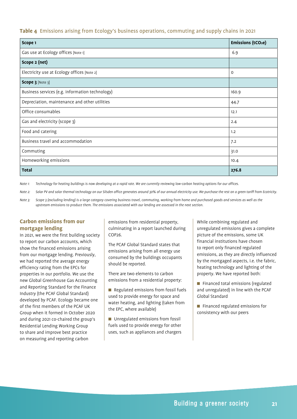#### **Table 4** Emissions arising from Ecology's business operations, commuting and supply chains in 2021

| Scope 1                                         | <b>Emissions (tCO2e)</b> |
|-------------------------------------------------|--------------------------|
| Gas use at Ecology offices [Note 1]             | 6.9                      |
| Scope 2 (net)                                   |                          |
| Electricity use at Ecology offices [Note 2]     | 0                        |
| Scope 3 [Note 3]                                |                          |
| Business services (e.g. information technology) | 160.9                    |
| Depreciation, maintenance and other utilities   | 44.7                     |
| Office consumables                              | 12.1                     |
| Gas and electricity (scope 3)                   | 2.4                      |
| Food and catering                               | 1.2                      |
| Business travel and accommodation               | 7.2                      |
| Commuting                                       | 31.0                     |
| Homeworking emissions                           | 10.4                     |
| <b>Total</b>                                    | 276.8                    |

*Note 1: Technology for heating buildings is now developing at a rapid rate. We are currently reviewing low-carbon heating options for our offices.*

*Note 2: Solar PV and solar thermal technology on our Silsden office generates around 30% of our annual electricity use. We purchase the rest on a green tariff from Ecotricity.*

*Note 3: Scope 3 (excluding lending) is a large category covering business travel, commuting, working from home and purchased goods and services as well as the upstream emissions to produce them. The emissions associated with our lending are assessed in the next section.*

#### **Carbon emissions from our mortgage lending**

In 2021, we were the first building society to report our carbon accounts, which show the financed emissions arising from our mortgage lending. Previously, we had reported the average energy efficiency rating from the EPCs for properties in our portfolio. We use the new Global Greenhouse Gas Accounting and Reporting Standard for the Finance Industry (the PCAF Global Standard) developed by PCAF. Ecology became one of the first members of the PCAF UK Group when it formed in October 2020 and during 2021 co-chaired the group's Residential Lending Working Group to share and improve best practice on measuring and reporting carbon

emissions from residential property, culminating in a report launched during COP26.

The PCAF Global Standard states that emissions arising from all energy use consumed by the buildings occupants should be reported.

There are two elements to carbon emissions from a residential property:

**n** Regulated emissions from fossil fuels used to provide energy for space and water heating, and lighting (taken from the EPC, where available)

 $\blacksquare$  Unregulated emissions from fossil fuels used to provide energy for other uses, such as appliances and chargers While combining regulated and unregulated emissions gives a complete picture of the emissions, some UK financial institutions have chosen to report only financed regulated emissions, as they are directly influenced by the mortgaged aspects, i.e. the fabric, heating technology and lighting of the property. We have reported both:

■ Financed total emissions (regulated and unregulated) in line with the PCAF Global Standard

**n** Financed regulated emissions for consistency with our peers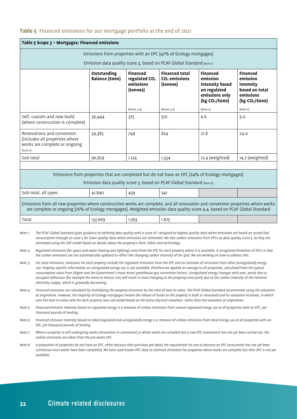#### **Table 5** Financed emissions for our mortgage portfolio at the end of 2021

|                                                                                                                                                                                                                                                                                                                                                                                                                                             | Table 5 Scope 3 - Mortgages: Financed emissions                                                                                                                                                                                                                                                                             |                                      |                                                                       |                                                                                                                                                                         |                                                                                                                |                                                                                                       |  |
|---------------------------------------------------------------------------------------------------------------------------------------------------------------------------------------------------------------------------------------------------------------------------------------------------------------------------------------------------------------------------------------------------------------------------------------------|-----------------------------------------------------------------------------------------------------------------------------------------------------------------------------------------------------------------------------------------------------------------------------------------------------------------------------|--------------------------------------|-----------------------------------------------------------------------|-------------------------------------------------------------------------------------------------------------------------------------------------------------------------|----------------------------------------------------------------------------------------------------------------|-------------------------------------------------------------------------------------------------------|--|
|                                                                                                                                                                                                                                                                                                                                                                                                                                             |                                                                                                                                                                                                                                                                                                                             |                                      |                                                                       | Emissions from properties with an EPC (47% of Ecology mortgages)                                                                                                        |                                                                                                                |                                                                                                       |  |
|                                                                                                                                                                                                                                                                                                                                                                                                                                             |                                                                                                                                                                                                                                                                                                                             |                                      |                                                                       | Emission data quality score 3, based on PCAF Global Standard [Note 1]                                                                                                   |                                                                                                                |                                                                                                       |  |
|                                                                                                                                                                                                                                                                                                                                                                                                                                             |                                                                                                                                                                                                                                                                                                                             | Outstanding<br><b>Balance (£000)</b> | <b>Financed</b><br>regulated CO <sub>2</sub><br>emissions<br>(tonnes) | <b>Financed total</b><br>$CO2$ emissions<br>(tonnes)                                                                                                                    | <b>Financed</b><br>emission<br>intensity based<br>on regulated<br>emissions only<br>(kg CO <sub>2</sub> /£000) | <b>Financed</b><br>emission<br>intensity<br>based on total<br>emissions<br>(kg CO <sub>2</sub> /£000) |  |
|                                                                                                                                                                                                                                                                                                                                                                                                                                             |                                                                                                                                                                                                                                                                                                                             |                                      | [Notes 2,4]                                                           | [Notes 3,4]                                                                                                                                                             | [Note 5]                                                                                                       | [Note 6]                                                                                              |  |
|                                                                                                                                                                                                                                                                                                                                                                                                                                             | Self, custom and new build<br>(where construction is complete)                                                                                                                                                                                                                                                              | 56,444                               | 375                                                                   | 510                                                                                                                                                                     | 6.6                                                                                                            | 9.0                                                                                                   |  |
| Renovations and conversion<br>(includes all properties where<br>works are complete or ongoing<br>[Note 7]                                                                                                                                                                                                                                                                                                                                   |                                                                                                                                                                                                                                                                                                                             | 34,385                               | 749                                                                   | 824                                                                                                                                                                     | 21.8                                                                                                           | 24.0                                                                                                  |  |
| Sub total                                                                                                                                                                                                                                                                                                                                                                                                                                   |                                                                                                                                                                                                                                                                                                                             | 90,829                               | 1,124                                                                 | 1,334                                                                                                                                                                   | 12.4 (weighted)                                                                                                | 14.7 (weighted)                                                                                       |  |
|                                                                                                                                                                                                                                                                                                                                                                                                                                             |                                                                                                                                                                                                                                                                                                                             |                                      |                                                                       |                                                                                                                                                                         |                                                                                                                |                                                                                                       |  |
|                                                                                                                                                                                                                                                                                                                                                                                                                                             |                                                                                                                                                                                                                                                                                                                             |                                      |                                                                       | Emissions from properties that are completed but do not have an EPC (24% of Ecology mortgages)<br>Emission data quality score 5, based on PCAF Global Standard [Note 8] |                                                                                                                |                                                                                                       |  |
| Sub total, all types                                                                                                                                                                                                                                                                                                                                                                                                                        |                                                                                                                                                                                                                                                                                                                             | 41,840                               | 439                                                                   | 541                                                                                                                                                                     |                                                                                                                |                                                                                                       |  |
| Emissions from all new properties where construction works are complete, and all renovation and conversion properties where works<br>are complete or ongoing (76% of Ecology mortgages). Weighted emission data quality score 4.4, based on PCAF Global Standard                                                                                                                                                                            |                                                                                                                                                                                                                                                                                                                             |                                      |                                                                       |                                                                                                                                                                         |                                                                                                                |                                                                                                       |  |
| Total                                                                                                                                                                                                                                                                                                                                                                                                                                       |                                                                                                                                                                                                                                                                                                                             | 132,669                              | 1,563                                                                 | 1,875                                                                                                                                                                   |                                                                                                                |                                                                                                       |  |
| The PCAF Global Standard gives guidance on defining data quality with a score of 1 assigned to highest quality data where emissions are based on actual fuel<br>Note 1:<br>consumption through to score 5 for lower quality data where emissions are estimated. We rate carbon emissions from EPCs as data quality score 3, as they are<br>estimated using the SAP model based on details about the property's form, fabric and technology. |                                                                                                                                                                                                                                                                                                                             |                                      |                                                                       |                                                                                                                                                                         |                                                                                                                |                                                                                                       |  |
| Note 2:                                                                                                                                                                                                                                                                                                                                                                                                                                     | Requlated emissions (for space and water heating and lighting) come from the EPC for each property where it is available. A recognised limitation of EPCs is that<br>the carbon emissions are not automatically updated to reflect the changing carbon intensity of the grid. We are working on how to address this.        |                                      |                                                                       |                                                                                                                                                                         |                                                                                                                |                                                                                                       |  |
| Note 3:                                                                                                                                                                                                                                                                                                                                                                                                                                     | For total emissions, emissions for each property include the regulated emissions from the EPC and an estimate of emissions from other (unregulated) energy<br>use. Property-specific information on unregulated energy use is not available, therefore we applied an average to all properties, calculated from the typical |                                      |                                                                       |                                                                                                                                                                         |                                                                                                                |                                                                                                       |  |

- *consumption value from Ofgem and the Government's most recent greenhouse gas conversion factors. Unregulated energy changes each year, partly due to occupant behaviour (for example the move to electric cars will result in more charging at the property) and partly due to the carbon intensity of the national electricity supply, which is gradually decreasing.*
- *Note 4: Financed emissions are calculated by multiplying the property emissions by the ratio of loan to value. The PCAF Global Standard recommends using the valuation at origination. However, the majority of Ecology mortgages involve the release of funds as the property is built or renovated and its valuation increases, in which case the loan to value ratio for each property was calculated based on the latest physical valuation, rather than the valuation at origination.*
- *Note 5: Financed emission intensity based on regulated energy is a measure of carbon emissions from annual regulated energy use at all properties with an EPC, per thousand pounds of lending.*
- *Note 6:* Financed emission intensity based on total (regulated and unregulated) energy is a measure of carbon emissions from total energy use at all properties with an *EPC, per thousand pounds of lending.*
- *Note 7: Where a property is still undergoing works (renovation or conversion) or where works are complete but a new EPC assessment has not yet been carried out, the carbon emissions are taken from the pre-works EPC.*
- *Note 8: A proportion of properties do not have an EPC, either because their purchase pre-dates the requirement for one or because an EPC assessment has not yet been carried out since works have been completed. We have used known EPC data to estimate emissions for properties where works are complete but their EPC is not yet available.*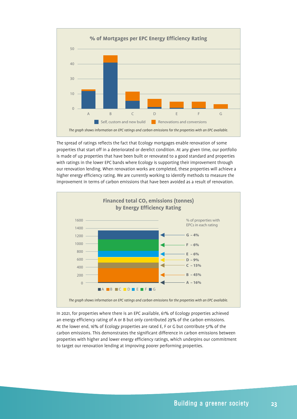

The spread of ratings reflects the fact that Ecology mortgages enable renovation of some properties that start off in a deteriorated or derelict condition. At any given time, our portfolio is made of up properties that have been built or renovated to a good standard and properties with ratings in the lower EPC bands where Ecology is supporting their improvement through our renovation lending. When renovation works are completed, these properties will achieve a higher energy efficiency rating. We are currently working to identify methods to measure the improvement in terms of carbon emissions that have been avoided as a result of renovation.



In 2021, for properties where there is an EPC available, 61% of Ecology properties achieved an energy efficiency rating of A or B but only contributed 29% of the carbon emissions. At the lower end, 16% of Ecology properties are rated E, F or G but contribute 51% of the carbon emissions. This demonstrates the significant difference in carbon emissions between properties with higher and lower energy efficiency ratings, which underpins our commitment to target our renovation lending at improving poorer performing properties.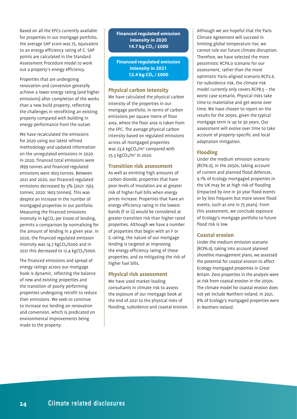Based on all the EPCs currently available for properties in our mortgage portfolio, the average SAP score was 75, equivalent to an energy efficiency rating of C. SAP points are calculated in the Standard Assessment Procedure model to work out a property's energy efficiency.

Properties that are undergoing renovation and conversion generally achieve a lower energy rating (and higher emissions) after completion of the works than a new build property, reflecting the challenges in retrofitting an existing property compared with building in energy performance from the outset.

We have recalculated the emissions for 2020 using our latest refined methodology and updated information on the unregulated emissions in 2020. In 2020, financed total emissions were 1899 tonnes and financed regulated emissions were 1603 tonnes. Between 2021 and 2020, our financed regulated emissions decreased by 3% (2021: 1563 tonnes; 2020: 1603 tonnes). This was despite an increase in the number of mortgaged properties in our portfolio. Measuring the financed emissions intensity in  $kgCO<sub>2</sub>$  per £1000 of lending, permits a comparison by normalising for the amount of lending in a given year. In 2020, the financed regulated emission intensity was 14.7  $kgCO<sub>2</sub>/E000$  and in 2021 this decreased to  $12.4 \text{ kgCO}_2/\text{E000}$ .

The financed emissions and spread of energy ratings across our mortgage book is dynamic, reflecting the balance of new and existing properties and the transition of poorly performing properties undergoing retrofit to reduce their emissions. We seek to continue to increase our lending on renovation and conversion, which is predicated on environmental improvements being made to the property.

**Financed regulated emission intensity in 2020 14.7 kg CO2 / £000**

**Financed regulated emission intensity in 2021 12.4 kg CO2 / £000**

#### **Physical carbon intensity**

We have calculated the physical carbon intensity of the properties in our mortgage portfolio, in terms of carbon emissions per square metre of floor area, where the floor area is taken from the EPC. The average physical carbon intensity based on regulated emissions across all mortgaged properties was 23.6 kgCO<sub>2</sub>/m<sup>2</sup> compared with 25.3 kgCO<sub>2</sub>/m<sup>2</sup> in 2020.

#### **Transition risk assessment**

As well as emitting high amounts of carbon dioxide, properties that have poor levels of insulation are at greater risk of higher fuel bills when energy prices increase. Properties that have an energy efficiency rating in the lowest bands (F or G) would be considered at greater transition risk than higher rated properties. Although we have a number of properties that begin with an F or G rating, the nature of our mortgage lending is targeted at improving the energy efficiency rating of these properties, and so mitigating the risk of higher fuel bills.

#### **Physical risk assessment**

We have used market-leading consultants in climate risk to assess the exposure of our mortgage book at the end of 2021 to the physical risks of flooding, subsidence and coastal erosion. Although we are hopeful that the Paris Climate Agreement will succeed in limiting global temperature rise, we cannot rule out future climate disruption. Therefore, we have selected the more pessimistic RCP6.0 scenario for our assessment, rather than the more optimistic Paris-aligned scenario RCP2.6. For subsidence risk, the climate risk model currently only covers RCP8.5 – the worst case scenario. Physical risks take time to materialise and get worse over time. We have chosen to report on the results for the 2050s, given the typical mortgage term is up to 30 years. Our assessment will evolve over time to take account of property-specific and local adaptation mitigation.

#### **Flooding**

Under the medium emission scenario (RCP6.0), in the 2050s, taking account of current and planned flood defences, 9.1% of Ecology mortgaged properties in the UK may be at high risk of flooding (impacted by one in 30 year flood events or by less frequent but more severe flood events, such as one in 75 years). From this assessment, we conclude exposure of Ecology's mortgage portfolio to future flood risk is low.

#### **Coastal erosion**

Under the medium emission scenario (RCP6.0), taking into account planned shoreline management plans, we assessed the potential for coastal erosion to affect Ecology mortgaged properties in Great Britain. Zero properties in the analysis were at risk from coastal erosion in the 2050s. The climate model for coastal erosion does not yet include Northern Ireland. In 2021, 8% of Ecology's mortgaged properties were in Northern Ireland.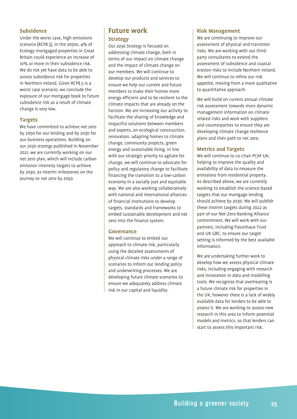#### **Subsidence**

Under the worst case, high emissions scenario (RCP8.5), in the 2050s, 4% of Ecology mortgaged properties in Great Britain could experience an increase of 10% or more in their subsidence risk. We do not yet have data to be able to assess subsidence risk for properties in Northern Ireland. Given RCP8.5 is a worst case scenario, we conclude the exposure of our mortgage book to future subsidence risk as a result of climate change is very low.

#### **Targets**

We have committed to achieve net zero by 2050 for our lending and by 2030 for our business operations. Building on *our 2030 strategy* published in November 2021, we are currently working on our net zero plan, which will include carbon emission intensity targets to achieve by 2030, as interim milestones on the journey to net zero by 2050.

### **Future work Strategy**

*Our 2030 Strategy* is focused on addressing climate change, both in terms of our impact on climate change and the impact of climate change on our members. We will continue to develop our products and services to ensure we help our current and future members to make their homes more energy efficient and to be resilient to the climate impacts that are already on the horizon. We are increasing our activity to facilitate the sharing of knowledge and impactful solutions between members and experts, on ecological construction, renovation, adapting homes to climate change, community projects, green energy and sustainable living. In line with our strategic priority to agitate for change, we will continue to advocate for policy and regulatory change to facilitate financing the transition to a low-carbon economy in a socially just and equitable way. We are also working collaboratively with national and international alliances of financial institutions to develop targets, standards and frameworks to embed sustainable development and net zero into the finance system.

#### **Governance**

We will continue to embed our approach to climate risk, particularly using the detailed assessments of physical climate risks under a range of scenarios to inform our lending policy and underwriting processes. We are developing future climate scenarios to ensure we adequately address climate risk in our capital and liquidity.

#### **Risk Management**

We are continuing to improve our assessment of physical and transition risks. We are working with our thirdparty consultants to extend the assessment of subsidence and coastal erosion risks to include Northern Ireland. We will continue to refine our risk appetite, moving from a more qualitative to quantitative approach.

We will build on current annual climate risk assessment towards more dynamic management information on climaterelated risks and work with suppliers and counterparties to ensure they are developing climate change resilience plans and their path to net zero.

#### **Metrics and Targets**

We will continue to co-chair PCAF UK, helping to improve the quality and availability of data to measure the emissions from residential property. As described above, we are currently working to establish the science-based targets that our mortgage lending should achieve by 2030. We will publish these interim targets during 2022 as part of our Net-Zero Banking Alliance commitment. We will work with our partners, including Passivhaus Trust and UK GBC, to ensure our target setting is informed by the best available information.

We are undertaking further work to develop how we assess physical climate risks, including engaging with research and innovation in data and modelling tools. We recognise that overheating is a future climate risk for properties in the UK; however there is a lack of widely available data for lenders to be able to assess it. We are working to assess new research in this area to inform potential models and metrics, so that lenders can start to assess this important risk.